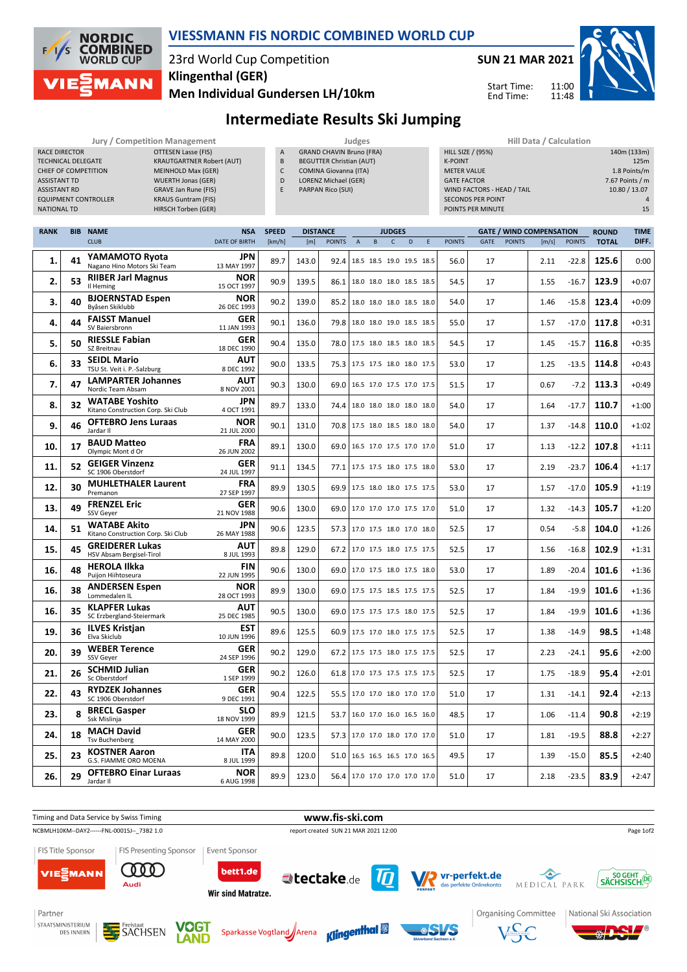

## **VIESSMANN FIS NORDIC COMBINED WORLD CUP**

# 23rd World Cup Competition **Klingenthal (GER)**

**Men Individual Gundersen LH/10km**



Start Time: End Time:



# **Intermediate Results Ski Jumping**

#### **Jury / Competition Management Judges Hill Data / Calculation**<br> **A** GRAND CHAVIN Bruno (FRA) HILL SIZE / (95%) **CITESEN Lasse (FIS) RACE DIRECTOR OTTESEN Lasse (FIS)** TECHNICAL DELEGATE KRAUTGARTNER Robert (AUT) CHIEF OF COMPETITION MEINHOLD Max (GER) ASSISTANT TD WUERTH Jonas (GER) ASSISTANT RD GRAVE Jan Rune (FIS)<br>FOLUPMENT CONTROLLER KRAUS Guntram (FIS) EQUIPMENT CONTROLLER NATIONAL TD HIRSCH Torben (GER)

- 
- GRAND CHAVIN Bruno (FRA) B BEGUTTER Christian (AUT)
- C COMINA Giovanna (ITA)
- D LORENZ Michael (GER)
- E PARPAN Rico (SUI)

| Hill Data / Calculation    |                 |
|----------------------------|-----------------|
| <b>HILL SIZE / (95%)</b>   | 140m (133m)     |
| <b>K-POINT</b>             | 125m            |
| <b>METER VALUE</b>         | 1.8 Points/m    |
| <b>GATE FACTOR</b>         | 7.67 Points / m |
| WIND FACTORS - HEAD / TAIL | 10.80 / 13.07   |
| <b>SECONDS PER POINT</b>   | $\Delta$        |
| POINTS PER MINUTE          | 15              |
|                            |                 |

11:00 11:48

| <b>RANK</b> | <b>BIB</b> | <b>NAME</b>                                                 | <b>NSA</b>                | <b>SPEED</b> | <b>DISTANCE</b> |               |                | <b>JUDGES</b>                   |              | <b>GATE / WIND COMPENSATION</b> |   |               | <b>ROUND</b> | <b>TIME</b>   |       |               |              |         |
|-------------|------------|-------------------------------------------------------------|---------------------------|--------------|-----------------|---------------|----------------|---------------------------------|--------------|---------------------------------|---|---------------|--------------|---------------|-------|---------------|--------------|---------|
|             |            | <b>CLUB</b>                                                 | <b>DATE OF BIRTH</b>      | [km/h]       | [m]             | <b>POINTS</b> | $\overline{A}$ | B                               | $\mathsf{C}$ | D                               | E | <b>POINTS</b> | GATE         | <b>POINTS</b> | [m/s] | <b>POINTS</b> | <b>TOTAL</b> | DIFF.   |
| 1.          | 41         | YAMAMOTO Ryota<br>Nagano Hino Motors Ski Team               | <b>JPN</b><br>13 MAY 1997 | 89.7         | 143.0           | 92.4          |                | 18.5 18.5 19.0 19.5 18.5        |              |                                 |   | 56.0          | 17           |               | 2.11  | $-22.8$       | 125.6        | 0:00    |
| 2.          | 53         | <b>RIIBER Jarl Magnus</b><br>Il Heming                      | <b>NOR</b><br>15 OCT 1997 | 90.9         | 139.5           | 86.1          |                | 18.0 18.0 18.0 18.5 18.5        |              |                                 |   | 54.5          | 17           |               | 1.55  | $-16.7$       | 123.9        | $+0:07$ |
| 3.          | 40         | <b>BJOERNSTAD Espen</b><br>Byåsen Skiklubb                  | <b>NOR</b><br>26 DEC 1993 | 90.2         | 139.0           | 85.2          |                | 18.0 18.0 18.0 18.5 18.0        |              |                                 |   | 54.0          | 17           |               | 1.46  | $-15.8$       | 123.4        | $+0:09$ |
| 4.          | 44         | <b>FAISST Manuel</b><br>SV Baiersbronn                      | <b>GER</b><br>11 JAN 1993 | 90.1         | 136.0           | 79.8          |                | 18.0 18.0 19.0 18.5 18.5        |              |                                 |   | 55.0          | 17           |               | 1.57  | $-17.0$       | 117.8        | $+0:31$ |
| 5.          | 50         | <b>RIESSLE Fabian</b><br>SZ Breitnau                        | GER<br>18 DEC 1990        | 90.4         | 135.0           | 78.0          |                | 17.5 18.0 18.5 18.0 18.5        |              |                                 |   | 54.5          | 17           |               | 1.45  | $-15.7$       | 116.8        | $+0:35$ |
| 6.          | 33         | <b>SEIDL Mario</b><br>TSU St. Veit i. P.-Salzburg           | <b>AUT</b><br>8 DEC 1992  | 90.0         | 133.5           | 75.3          |                | 17.5 17.5 18.0 18.0 17.5        |              |                                 |   | 53.0          | 17           |               | 1.25  | $-13.5$       | 114.8        | $+0:43$ |
| 7.          | 47         | <b>LAMPARTER Johannes</b><br>Nordic Team Absam              | <b>AUT</b><br>8 NOV 2001  | 90.3         | 130.0           | 69.0          |                | 16.5 17.0 17.5 17.0 17.5        |              |                                 |   | 51.5          | 17           |               | 0.67  | $-7.2$        | 113.3        | $+0:49$ |
| 8.          | 32         | <b>WATABE Yoshito</b><br>Kitano Construction Corp. Ski Club | <b>JPN</b><br>4 OCT 1991  | 89.7         | 133.0           | 74.4          |                | 18.0 18.0 18.0 18.0 18.0        |              |                                 |   | 54.0          | 17           |               | 1.64  | $-17.7$       | 110.7        | $+1:00$ |
| 9.          | 46         | <b>OFTEBRO Jens Luraas</b><br>Jardar II                     | <b>NOR</b><br>21 JUL 2000 | 90.1         | 131.0           | 70.8          |                | 17.5 18.0 18.5 18.0 18.0        |              |                                 |   | 54.0          | 17           |               | 1.37  | $-14.8$       | 110.0        | $+1:02$ |
| 10.         | 17         | <b>BAUD Matteo</b><br>Olympic Mont d Or                     | <b>FRA</b><br>26 JUN 2002 | 89.1         | 130.0           | 69.0          |                | 16.5 17.0 17.5 17.0 17.0        |              |                                 |   | 51.0          | 17           |               | 1.13  | $-12.2$       | 107.8        | $+1:11$ |
| 11.         | 52         | <b>GEIGER Vinzenz</b><br>SC 1906 Oberstdorf                 | <b>GER</b><br>24 JUL 1997 | 91.1         | 134.5           | 77.1          |                | 17.5 17.5 18.0 17.5 18.0        |              |                                 |   | 53.0          | 17           |               | 2.19  | $-23.7$       | 106.4        | $+1:17$ |
| 12.         | 30         | <b>MUHLETHALER Laurent</b><br>Premanon                      | <b>FRA</b><br>27 SEP 1997 | 89.9         | 130.5           | 69.9          |                | 17.5 18.0 18.0 17.5 17.5        |              |                                 |   | 53.0          | 17           |               | 1.57  | $-17.0$       | 105.9        | $+1:19$ |
| 13.         | 49         | <b>FRENZEL Eric</b><br>SSV Geyer                            | <b>GER</b><br>21 NOV 1988 | 90.6         | 130.0           | 69.0          |                | 17.0 17.0 17.0 17.5 17.0        |              |                                 |   | 51.0          | 17           |               | 1.32  | $-14.3$       | 105.7        | $+1:20$ |
| 14.         | 51         | <b>WATABE Akito</b><br>Kitano Construction Corp. Ski Club   | <b>JPN</b><br>26 MAY 1988 | 90.6         | 123.5           | 57.3          |                | 17.0 17.5 18.0 17.0 18.0        |              |                                 |   | 52.5          | 17           |               | 0.54  | $-5.8$        | 104.0        | $+1:26$ |
| 15.         | 45         | <b>GREIDERER Lukas</b><br>HSV Absam Bergisel-Tirol          | AUT<br>8 JUL 1993         | 89.8         | 129.0           | 67.2          |                | 17.0 17.5 18.0 17.5 17.5        |              |                                 |   | 52.5          | 17           |               | 1.56  | $-16.8$       | 102.9        | $+1:31$ |
| 16.         | 48         | <b>HEROLA Ilkka</b><br>Puijon Hiihtoseura                   | <b>FIN</b><br>22 JUN 1995 | 90.6         | 130.0           | 69.0          |                | 17.0 17.5 18.0 17.5 18.0        |              |                                 |   | 53.0          | 17           |               | 1.89  | $-20.4$       | 101.6        | $+1:36$ |
| 16.         | 38         | <b>ANDERSEN Espen</b><br>Lommedalen IL                      | <b>NOR</b><br>28 OCT 1993 | 89.9         | 130.0           | 69.0          |                | 17.5 17.5 18.5 17.5 17.5        |              |                                 |   | 52.5          | 17           |               | 1.84  | $-19.9$       | 101.6        | $+1:36$ |
| 16.         | 35         | <b>KLAPFER Lukas</b><br>SC Erzbergland-Steiermark           | AUT<br>25 DEC 1985        | 90.5         | 130.0           | 69.0          |                | 17.5 17.5 17.5 18.0 17.5        |              |                                 |   | 52.5          | 17           |               | 1.84  | $-19.9$       | 101.6        | $+1:36$ |
| 19.         | 36         | <b>ILVES Kristjan</b><br>Elva Skiclub                       | <b>EST</b><br>10 JUN 1996 | 89.6         | 125.5           | 60.9          |                | 17.5 17.0 18.0 17.5 17.5        |              |                                 |   | 52.5          | 17           |               | 1.38  | $-14.9$       | 98.5         | $+1:48$ |
| 20.         | 39         | <b>WEBER Terence</b><br><b>SSV Gever</b>                    | <b>GER</b><br>24 SEP 1996 | 90.2         | 129.0           | 67.2          |                | 17.5 17.5 18.0 17.5 17.5        |              |                                 |   | 52.5          | 17           |               | 2.23  | $-24.1$       | 95.6         | $+2:00$ |
| 21.         | 26         | <b>SCHMID Julian</b><br>Sc Oberstdorf                       | <b>GER</b><br>1 SEP 1999  | 90.2         | 126.0           | 61.8          |                | 17.0 17.5 17.5 17.5 17.5        |              |                                 |   | 52.5          | 17           |               | 1.75  | $-18.9$       | 95.4         | $+2:01$ |
| 22.         | 43         | <b>RYDZEK Johannes</b><br>SC 1906 Oberstdorf                | GER<br>9 DEC 1991         | 90.4         | 122.5           | 55.5          |                | 17.0 17.0 18.0 17.0 17.0        |              |                                 |   | 51.0          | 17           |               | 1.31  | $-14.1$       | 92.4         | $+2:13$ |
| 23.         | 8          | <b>BRECL Gasper</b><br>Ssk Mislinja                         | <b>SLO</b><br>18 NOV 1999 | 89.9         | 121.5           | 53.7          |                | 16.0 17.0 16.0 16.5 16.0        |              |                                 |   | 48.5          | 17           |               | 1.06  | $-11.4$       | 90.8         | $+2:19$ |
| 24.         | 18         | <b>MACH David</b><br><b>Tsv Buchenberg</b>                  | <b>GER</b><br>14 MAY 2000 | 90.0         | 123.5           | 57.3          |                | 17.0 17.0 18.0 17.0 17.0        |              |                                 |   | 51.0          | 17           |               | 1.81  | $-19.5$       | 88.8         | $+2:27$ |
| 25.         | 23         | <b>KOSTNER Aaron</b><br>G.S. FIAMME ORO MOENA               | <b>ITA</b><br>8 JUL 1999  | 89.8         | 120.0           | 51.0          |                | 16.5 16.5 16.5 17.0 16.5        |              |                                 |   | 49.5          | 17           |               | 1.39  | $-15.0$       | 85.5         | $+2:40$ |
| 26.         | 29         | <b>OFTEBRO Einar Luraas</b><br>Jardar II                    | <b>NOR</b><br>6 AUG 1998  | 89.9         | 123.0           |               |                | 56.4   17.0 17.0 17.0 17.0 17.0 |              |                                 |   | 51.0          | 17           |               | 2.18  | $-23.5$       | 83.9         | $+2:47$ |





Freistaat<br>SACHSEN